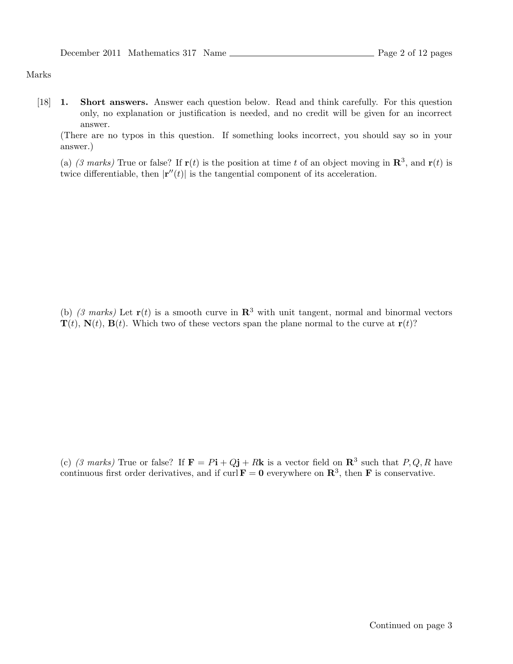## Marks

[18] 1. Short answers. Answer each question below. Read and think carefully. For this question only, no explanation or justification is needed, and no credit will be given for an incorrect answer.

(There are no typos in this question. If something looks incorrect, you should say so in your answer.)

(a) (3 marks) True or false? If  $\mathbf{r}(t)$  is the position at time t of an object moving in  $\mathbf{R}^3$ , and  $\mathbf{r}(t)$  is twice differentiable, then  $|\mathbf{r}''(t)|$  is the tangential component of its acceleration.

(b) (3 marks) Let  $\mathbf{r}(t)$  is a smooth curve in  $\mathbf{R}^3$  with unit tangent, normal and binormal vectors  $\mathbf{T}(t)$ ,  $\mathbf{N}(t)$ ,  $\mathbf{B}(t)$ . Which two of these vectors span the plane normal to the curve at  $\mathbf{r}(t)$ ?

(c) (3 marks) True or false? If  $\mathbf{F} = P\mathbf{i} + Q\mathbf{j} + R\mathbf{k}$  is a vector field on  $\mathbf{R}^3$  such that  $P, Q, R$  have continuous first order derivatives, and if curl  $\mathbf{F} = \mathbf{0}$  everywhere on  $\mathbf{R}^3$ , then  $\mathbf{F}$  is conservative.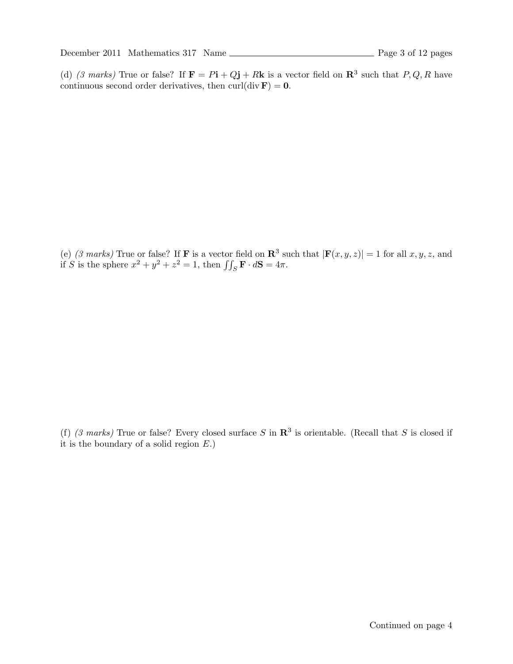(d) (3 marks) True or false? If  $\mathbf{F} = P\mathbf{i} + Q\mathbf{j} + R\mathbf{k}$  is a vector field on  $\mathbf{R}^3$  such that  $P, Q, R$  have continuous second order derivatives, then curl(div  $\mathbf{F}$ ) = 0.

(e) (3 marks) True or false? If **F** is a vector field on  $\mathbb{R}^3$  such that  $|\mathbf{F}(x, y, z)| = 1$  for all  $x, y, z$ , and if S is the sphere  $x^2 + y^2 + z^2 = 1$ , then  $\iint_S \mathbf{F} \cdot d\mathbf{S} = 4\pi$ .

(f) (3 marks) True or false? Every closed surface S in  $\mathbb{R}^3$  is orientable. (Recall that S is closed if it is the boundary of a solid region  $E$ .)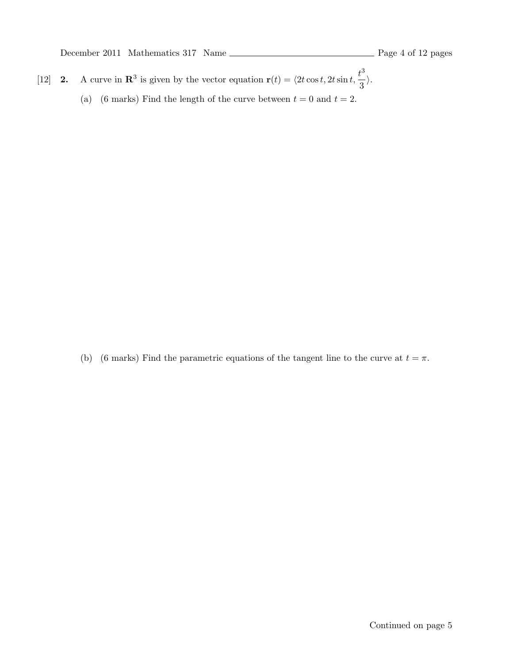- [12] **2.** A curve in  $\mathbb{R}^3$  is given by the vector equation  $\mathbf{r}(t) = \langle 2t \cos t, 2t \sin t, \frac{t^3}{2} \rangle$  $\frac{1}{3}$ .
	- (a) (6 marks) Find the length of the curve between  $t = 0$  and  $t = 2$ .

(b) (6 marks) Find the parametric equations of the tangent line to the curve at  $t = \pi$ .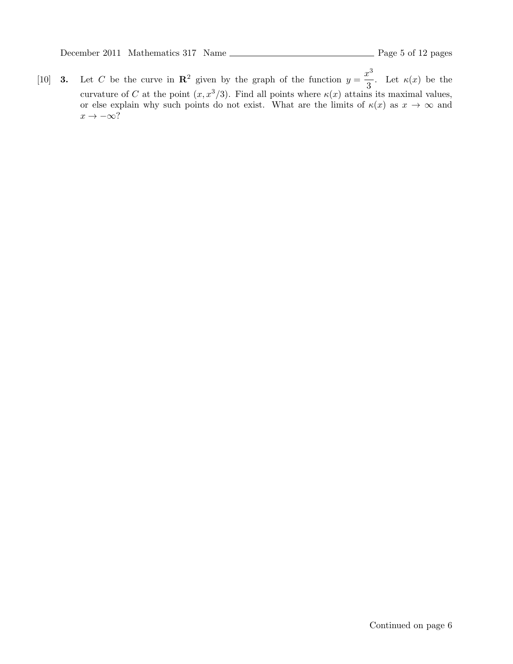[10] **3.** Let C be the curve in  $\mathbb{R}^2$  given by the graph of the function  $y = \frac{x^3}{2}$  $\frac{1}{3}$ . Let  $\kappa(x)$  be the curvature of C at the point  $(x, x^3/3)$ . Find all points where  $\kappa(x)$  attains its maximal values, or else explain why such points do not exist. What are the limits of  $\kappa(x)$  as  $x \to \infty$  and  $x \to -\infty$ ?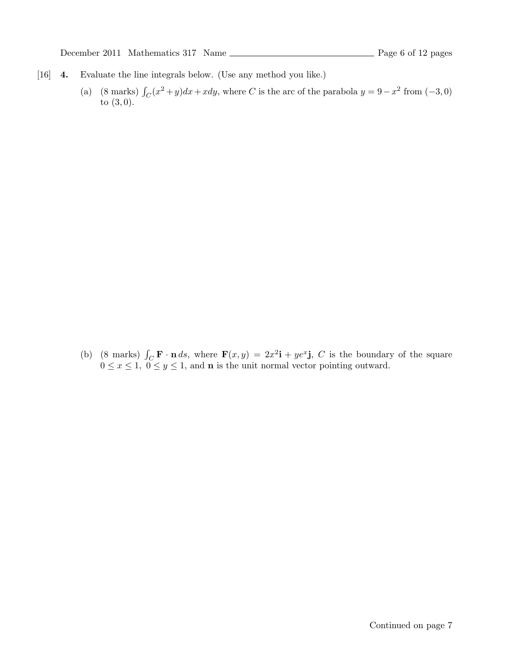- [16] 4. Evaluate the line integrals below. (Use any method you like.)
	- (a) (8 marks)  $\int_C (x^2 + y) dx + x dy$ , where C is the arc of the parabola  $y = 9 x^2$  from (-3, 0) to (3, 0).

(b) (8 marks)  $\int_C \mathbf{F} \cdot \mathbf{n} ds$ , where  $\mathbf{F}(x, y) = 2x^2 \mathbf{i} + ye^x \mathbf{j}$ , C is the boundary of the square  $0 \le x \le 1$ ,  $0 \le y \le 1$ , and **n** is the unit normal vector pointing outward.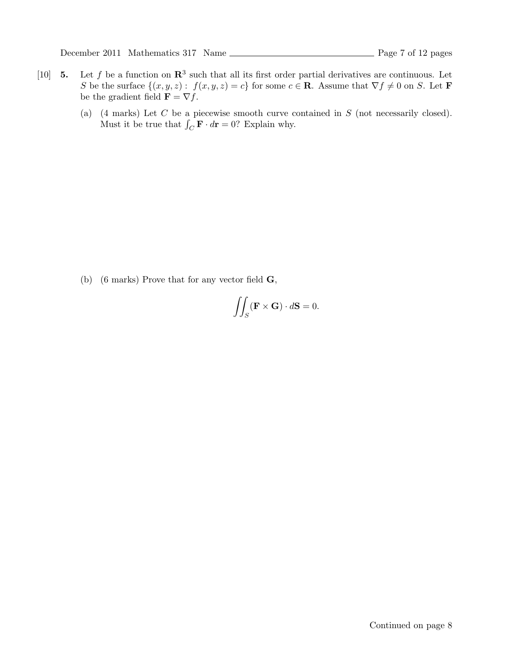December 2011 Mathematics 317 Name Page 7 of 12 pages

- [10] **5.** Let f be a function on  $\mathbb{R}^3$  such that all its first order partial derivatives are continuous. Let S be the surface  $\{(x, y, z): f(x, y, z) = c\}$  for some  $c \in \mathbb{R}$ . Assume that  $\nabla f \neq 0$  on S. Let **F** be the gradient field  $\mathbf{F} = \nabla f$ .
	- (a) (4 marks) Let  $C$  be a piecewise smooth curve contained in  $S$  (not necessarily closed). Must it be true that  $\int_C \mathbf{F} \cdot d\mathbf{r} = 0$ ? Explain why.

(b) (6 marks) Prove that for any vector field  $\mathbf{G}$ ,

$$
\iint_{S} (\mathbf{F} \times \mathbf{G}) \cdot d\mathbf{S} = 0.
$$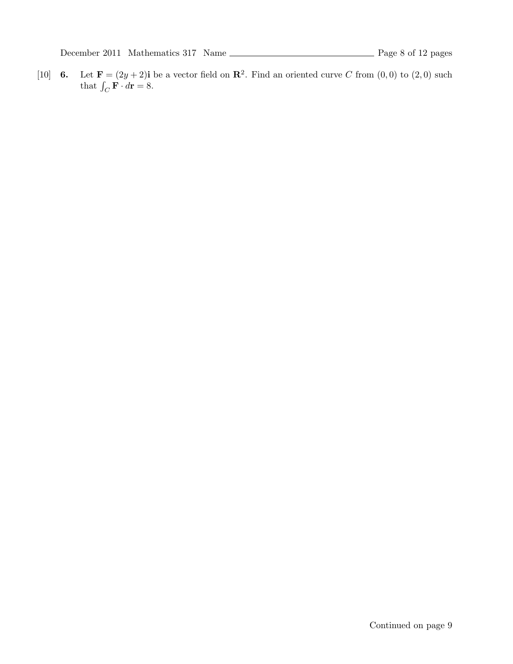[10] **6.** Let  $\mathbf{F} = (2y + 2)\mathbf{i}$  be a vector field on  $\mathbf{R}^2$ . Find an oriented curve C from  $(0,0)$  to  $(2,0)$  such that  $\int_C \mathbf{F} \cdot d\mathbf{r} = 8.$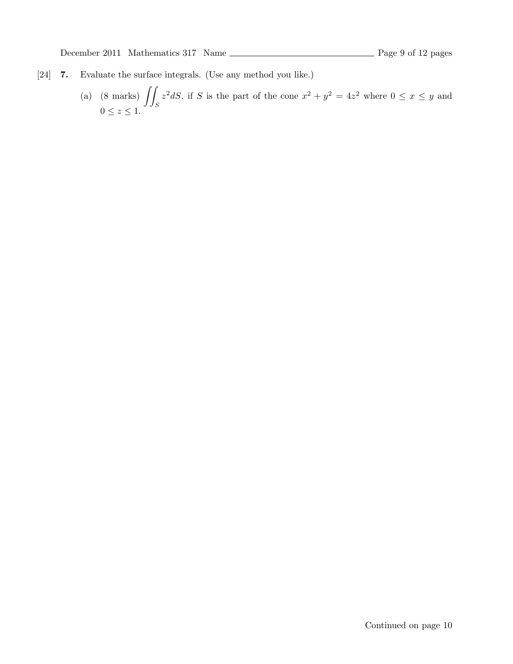- [24] 7. Evaluate the surface integrals. (Use any method you like.)
	- (a)  $(8 \text{ marks}) \int$ S  $z^2 dS$ , if S is the part of the cone  $x^2 + y^2 = 4z^2$  where  $0 \le x \le y$  and  $0 \leq z \leq 1$ .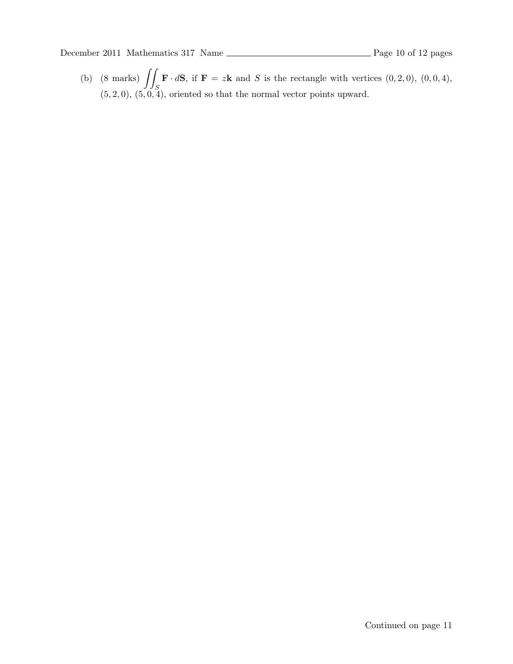(b)  $(8 \text{ marks}) \int$ S  $\mathbf{F} \cdot d\mathbf{S}$ , if  $\mathbf{F} = z\mathbf{k}$  and S is the rectangle with vertices  $(0, 2, 0), (0, 0, 4),$  $(5, 2, 0), (5, 0, 4)$ , oriented so that the normal vector points upward.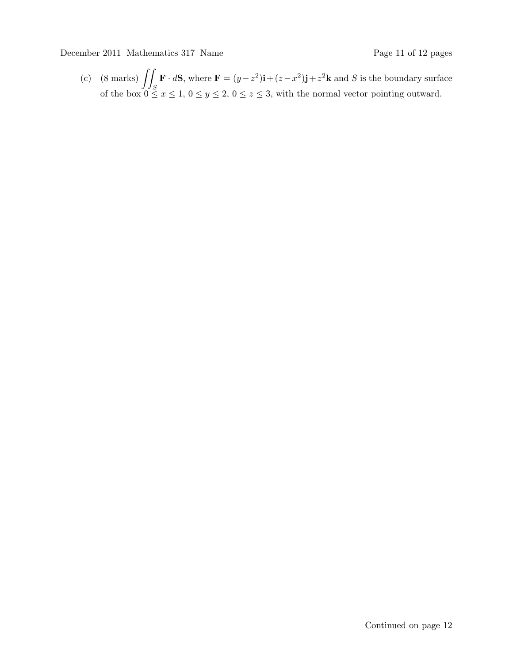(c)  $(8 \text{ marks}) \int$ S  $\mathbf{F} \cdot d\mathbf{S}$ , where  $\mathbf{F} = (y - z^2)\mathbf{i} + (z - x^2)\mathbf{j} + z^2\mathbf{k}$  and S is the boundary surface of the box  $0 \le x \le 1, 0 \le y \le 2, 0 \le z \le 3$ , with the normal vector pointing outward.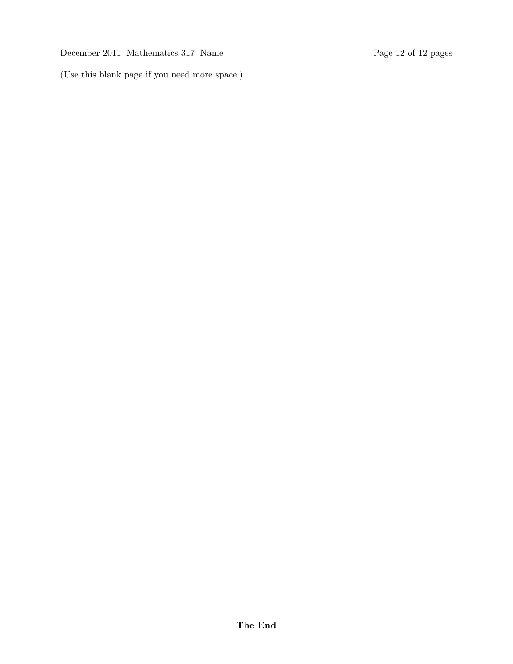(Use this blank page if you need more space.)